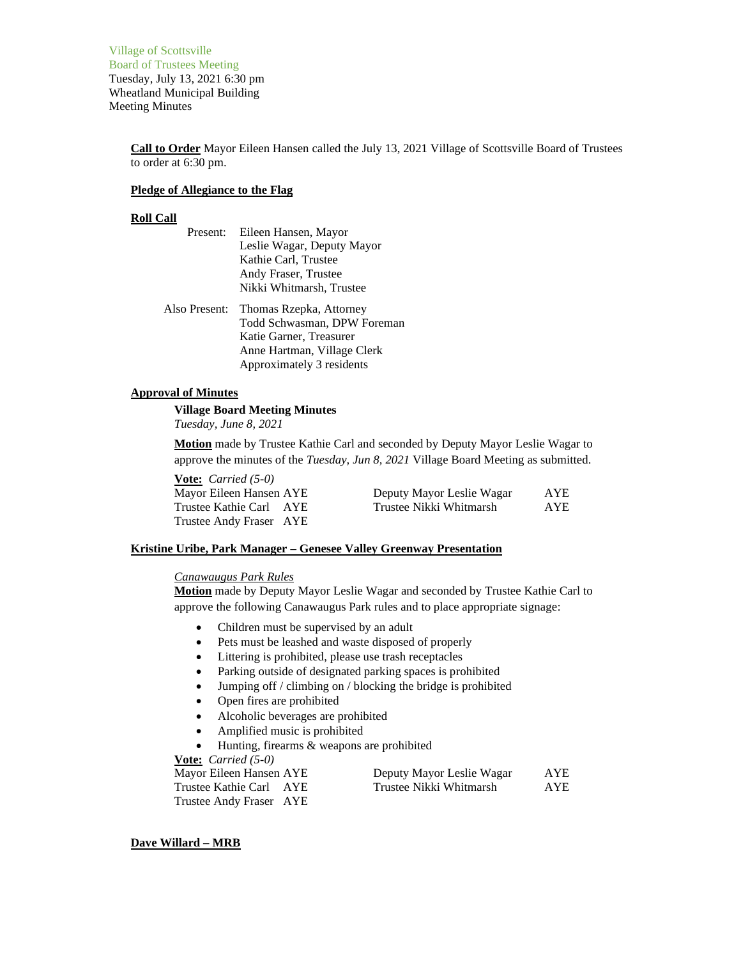Village of Scottsville Board of Trustees Meeting Tuesday, July 13, 2021 6:30 pm Wheatland Municipal Building Meeting Minutes

> **Call to Order** Mayor Eileen Hansen called the July 13, 2021 Village of Scottsville Board of Trustees to order at 6:30 pm.

## **Pledge of Allegiance to the Flag**

# **Roll Call**

- Present: Eileen Hansen, Mayor Leslie Wagar, Deputy Mayor Kathie Carl, Trustee Andy Fraser, Trustee Nikki Whitmarsh, Trustee
- Also Present: Thomas Rzepka, Attorney Todd Schwasman, DPW Foreman Katie Garner, Treasurer Anne Hartman, Village Clerk Approximately 3 residents

# **Approval of Minutes**

**Village Board Meeting Minutes**

*Tuesday, June 8, 2021*

**Motion** made by Trustee Kathie Carl and seconded by Deputy Mayor Leslie Wagar to approve the minutes of the *Tuesday, Jun 8, 2021* Village Board Meeting as submitted.

**Vote:** *Carried (5-0)* Mayor Eileen Hansen AYE Trustee Kathie Carl AYE Trustee Andy Fraser AYE

| Deputy Mayor Leslie Wagar | <b>AYE</b> |
|---------------------------|------------|
| Trustee Nikki Whitmarsh   | <b>AYE</b> |

# **Kristine Uribe, Park Manager – Genesee Valley Greenway Presentation**

# *Canawaugus Park Rules*

**Motion** made by Deputy Mayor Leslie Wagar and seconded by Trustee Kathie Carl to approve the following Canawaugus Park rules and to place appropriate signage:

- Children must be supervised by an adult
- Pets must be leashed and waste disposed of properly
- Littering is prohibited, please use trash receptacles
- Parking outside of designated parking spaces is prohibited
- Jumping off / climbing on / blocking the bridge is prohibited
- Open fires are prohibited
- Alcoholic beverages are prohibited
- Amplified music is prohibited
- Hunting, firearms & weapons are prohibited

**Vote:** *Carried (5-0)*

| Mayor Eileen Hansen AYE | Deputy Mayor Leslie Wagar | AYE |
|-------------------------|---------------------------|-----|
| Trustee Kathie Carl AYE | Trustee Nikki Whitmarsh   | AYE |
| Trustee Andy Fraser AYE |                           |     |

#### **Dave Willard – MRB**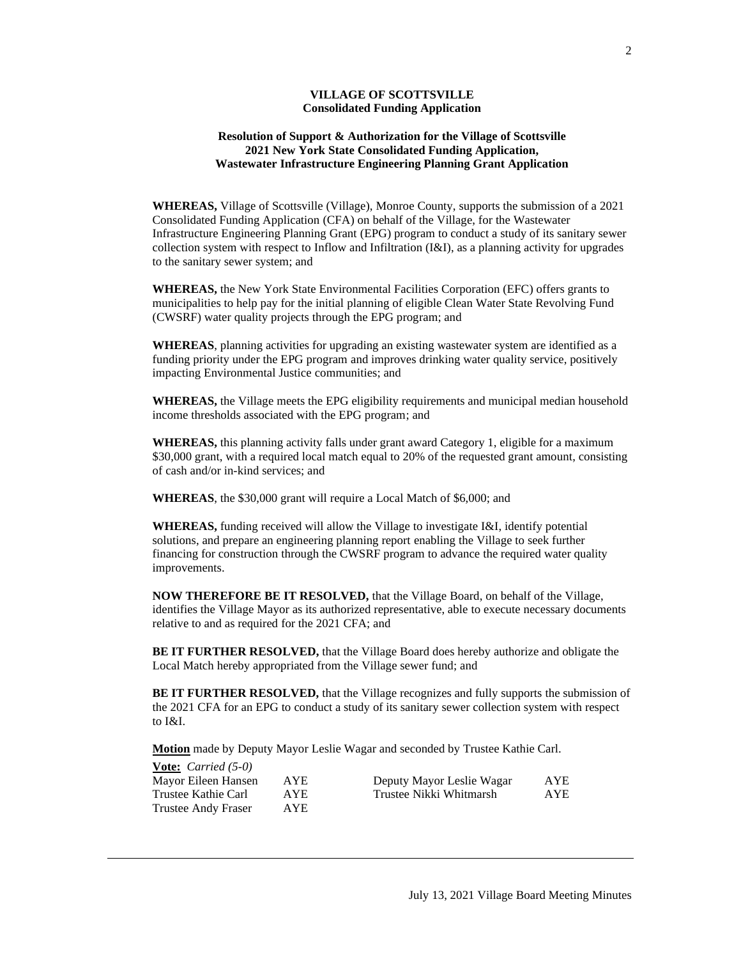# **VILLAGE OF SCOTTSVILLE Consolidated Funding Application**

# **Resolution of Support & Authorization for the Village of Scottsville 2021 New York State Consolidated Funding Application, Wastewater Infrastructure Engineering Planning Grant Application**

**WHEREAS,** Village of Scottsville (Village), Monroe County, supports the submission of a 2021 Consolidated Funding Application (CFA) on behalf of the Village, for the Wastewater Infrastructure Engineering Planning Grant (EPG) program to conduct a study of its sanitary sewer collection system with respect to Inflow and Infiltration (I&I), as a planning activity for upgrades to the sanitary sewer system; and

**WHEREAS,** the New York State Environmental Facilities Corporation (EFC) offers grants to municipalities to help pay for the initial planning of eligible Clean Water State Revolving Fund (CWSRF) water quality projects through the EPG program; and

**WHEREAS**, planning activities for upgrading an existing wastewater system are identified as a funding priority under the EPG program and improves drinking water quality service, positively impacting Environmental Justice communities; and

**WHEREAS,** the Village meets the EPG eligibility requirements and municipal median household income thresholds associated with the EPG program; and

**WHEREAS,** this planning activity falls under grant award Category 1, eligible for a maximum \$30,000 grant, with a required local match equal to 20% of the requested grant amount, consisting of cash and/or in-kind services; and

**WHEREAS**, the \$30,000 grant will require a Local Match of \$6,000; and

**WHEREAS,** funding received will allow the Village to investigate I&I, identify potential solutions, and prepare an engineering planning report enabling the Village to seek further financing for construction through the CWSRF program to advance the required water quality improvements.

**NOW THEREFORE BE IT RESOLVED,** that the Village Board, on behalf of the Village, identifies the Village Mayor as its authorized representative, able to execute necessary documents relative to and as required for the 2021 CFA; and

**BE IT FURTHER RESOLVED,** that the Village Board does hereby authorize and obligate the Local Match hereby appropriated from the Village sewer fund; and

**BE IT FURTHER RESOLVED,** that the Village recognizes and fully supports the submission of the 2021 CFA for an EPG to conduct a study of its sanitary sewer collection system with respect to I&I.

**Motion** made by Deputy Mayor Leslie Wagar and seconded by Trustee Kathie Carl.

| <b>Vote:</b> <i>Carried</i> $(5-0)$ |      |                           |      |
|-------------------------------------|------|---------------------------|------|
| Mayor Eileen Hansen                 | AYE  | Deputy Mayor Leslie Wagar | AYE  |
| Trustee Kathie Carl                 | AYE. | Trustee Nikki Whitmarsh   | AYE. |
| <b>Trustee Andy Fraser</b>          | AYE  |                           |      |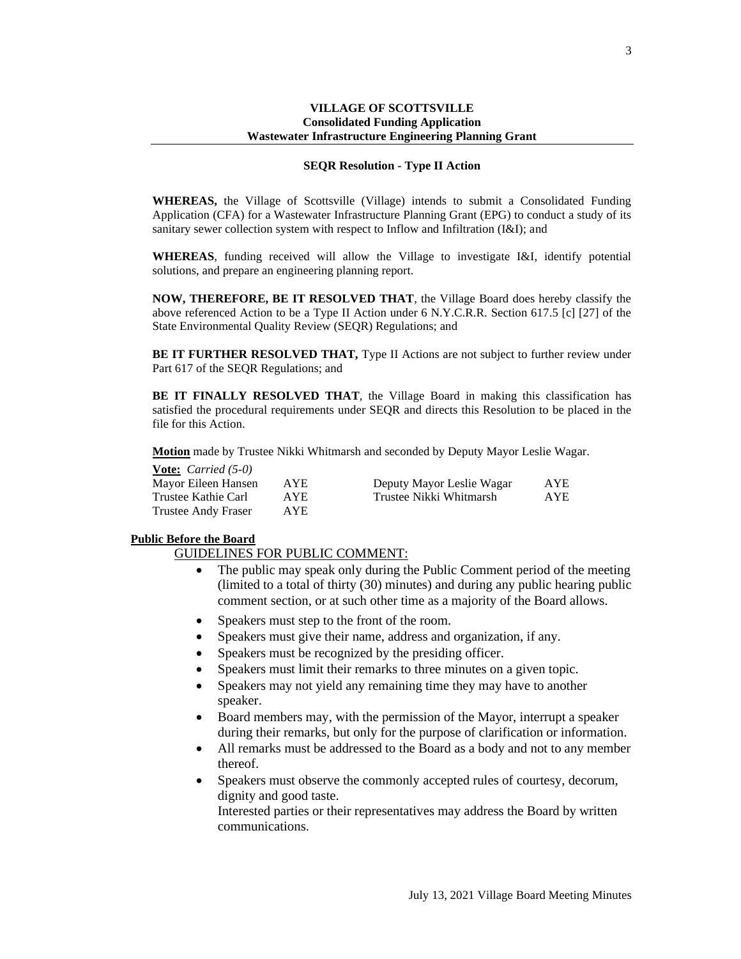## **VILLAGE OF SCOTTSVILLE Consolidated Funding Application Wastewater Infrastructure Engineering Planning Grant**

### **SEQR Resolution - Type II Action**

**WHEREAS,** the Village of Scottsville (Village) intends to submit a Consolidated Funding Application (CFA) for a Wastewater Infrastructure Planning Grant (EPG) to conduct a study of its sanitary sewer collection system with respect to Inflow and Infiltration (I&I); and

**WHEREAS**, funding received will allow the Village to investigate I&I, identify potential solutions, and prepare an engineering planning report.

**NOW, THEREFORE, BE IT RESOLVED THAT**, the Village Board does hereby classify the above referenced Action to be a Type II Action under 6 N.Y.C.R.R. Section 617.5 [c] [27] of the State Environmental Quality Review (SEQR) Regulations; and

**BE IT FURTHER RESOLVED THAT,** Type II Actions are not subject to further review under Part 617 of the SEQR Regulations; and

**BE IT FINALLY RESOLVED THAT**, the Village Board in making this classification has satisfied the procedural requirements under SEQR and directs this Resolution to be placed in the file for this Action.

**Motion** made by Trustee Nikki Whitmarsh and seconded by Deputy Mayor Leslie Wagar.

**Vote:** *Carried (5-0)*

| Mayor Eileen Hansen | AYE        | Deputy Mayor Leslie Wagar | AYE        |
|---------------------|------------|---------------------------|------------|
| Trustee Kathie Carl | AYE.       | Trustee Nikki Whitmarsh   | <b>AYE</b> |
| Trustee Andy Fraser | <b>AYE</b> |                           |            |

# **Public Before the Board**

GUIDELINES FOR PUBLIC COMMENT:

- The public may speak only during the Public Comment period of the meeting (limited to a total of thirty (30) minutes) and during any public hearing public comment section, or at such other time as a majority of the Board allows.
- Speakers must step to the front of the room.
- Speakers must give their name, address and organization, if any.
- Speakers must be recognized by the presiding officer.
- Speakers must limit their remarks to three minutes on a given topic.
- Speakers may not yield any remaining time they may have to another speaker.
- Board members may, with the permission of the Mayor, interrupt a speaker during their remarks, but only for the purpose of clarification or information.
- All remarks must be addressed to the Board as a body and not to any member thereof.
- Speakers must observe the commonly accepted rules of courtesy, decorum, dignity and good taste.

Interested parties or their representatives may address the Board by written communications.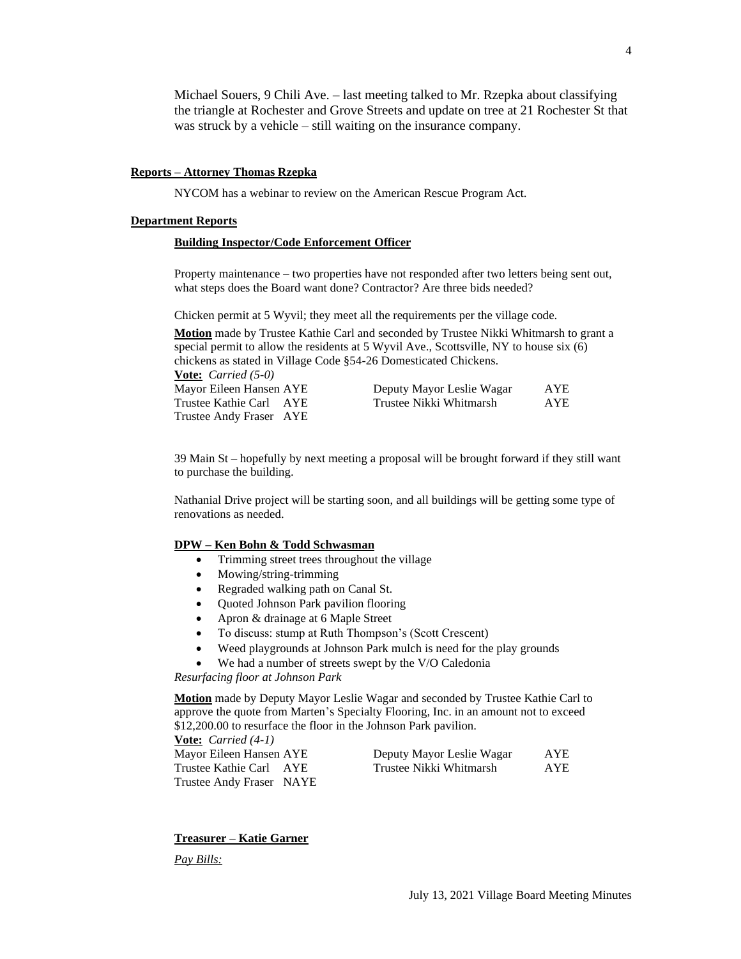Michael Souers, 9 Chili Ave. – last meeting talked to Mr. Rzepka about classifying the triangle at Rochester and Grove Streets and update on tree at 21 Rochester St that was struck by a vehicle – still waiting on the insurance company.

## **Reports – Attorney Thomas Rzepka**

NYCOM has a webinar to review on the American Rescue Program Act.

## **Department Reports**

#### **Building Inspector/Code Enforcement Officer**

Property maintenance – two properties have not responded after two letters being sent out, what steps does the Board want done? Contractor? Are three bids needed?

Chicken permit at 5 Wyvil; they meet all the requirements per the village code.

**Motion** made by Trustee Kathie Carl and seconded by Trustee Nikki Whitmarsh to grant a special permit to allow the residents at 5 Wyvil Ave., Scottsville, NY to house six (6) chickens as stated in Village Code §54-26 Domesticated Chickens. **Vote:** *Carried (5-0)*

| Mayor Eileen Hansen AYE | Deputy Mayor Leslie Wagar | AYE        |
|-------------------------|---------------------------|------------|
| Trustee Kathie Carl AYE | Trustee Nikki Whitmarsh   | <b>AYE</b> |
| Trustee Andy Fraser AYE |                           |            |

39 Main St – hopefully by next meeting a proposal will be brought forward if they still want to purchase the building.

Nathanial Drive project will be starting soon, and all buildings will be getting some type of renovations as needed.

### **DPW – Ken Bohn & Todd Schwasman**

- Trimming street trees throughout the village
- Mowing/string-trimming
- Regraded walking path on Canal St.
- Ouoted Johnson Park pavilion flooring
- Apron & drainage at 6 Maple Street
- To discuss: stump at Ruth Thompson's (Scott Crescent)
- Weed playgrounds at Johnson Park mulch is need for the play grounds
- We had a number of streets swept by the V/O Caledonia

*Resurfacing floor at Johnson Park*

**Motion** made by Deputy Mayor Leslie Wagar and seconded by Trustee Kathie Carl to approve the quote from Marten's Specialty Flooring, Inc. in an amount not to exceed \$12,200.00 to resurface the floor in the Johnson Park pavilion.

**Vote:** *Carried (4-1)* Mayor Eileen Hansen AYE Deputy Mayor Leslie Wagar AYE Trustee Kathie Carl AYE Trustee Nikki Whitmarsh AYE Trustee Andy Fraser NAYE

# **Treasurer – Katie Garner**

*Pay Bills:*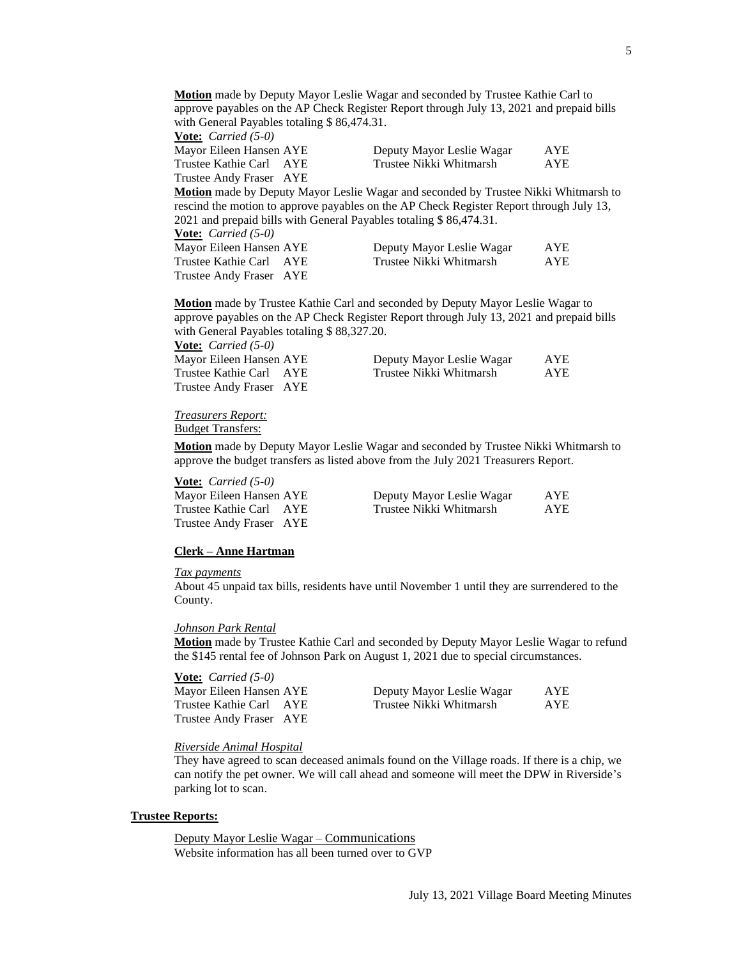**Motion** made by Deputy Mayor Leslie Wagar and seconded by Trustee Kathie Carl to approve payables on the AP Check Register Report through July 13, 2021 and prepaid bills with General Payables totaling \$86,474.31.

| <b><u>Vote:</u></b> <i>Carried</i> $(5-0)$ |                           |            |
|--------------------------------------------|---------------------------|------------|
| Mayor Eileen Hansen AYE                    | Deputy Mayor Leslie Wagar | AYE        |
| Trustee Kathie Carl AYE                    | Trustee Nikki Whitmarsh   | <b>AYE</b> |
| Trustee Andy Fraser AYE                    |                           |            |

**Motion** made by Deputy Mayor Leslie Wagar and seconded by Trustee Nikki Whitmarsh to rescind the motion to approve payables on the AP Check Register Report through July 13, 2021 and prepaid bills with General Payables totaling \$ 86,474.31.

| <b><u>Vote:</u></b> <i>Carried</i> $(5-0)$ |                           |            |
|--------------------------------------------|---------------------------|------------|
| Mayor Eileen Hansen AYE                    | Deputy Mayor Leslie Wagar | <b>AYE</b> |
| Trustee Kathie Carl AYE                    | Trustee Nikki Whitmarsh   | AYE        |
| Trustee Andy Fraser AYE                    |                           |            |

**Motion** made by Trustee Kathie Carl and seconded by Deputy Mayor Leslie Wagar to approve payables on the AP Check Register Report through July 13, 2021 and prepaid bills with General Payables totaling \$ 88,327.20.

**Vote:** *Carried (5-0)* Mayor Eileen Hansen AYE Trustee Kathie Carl AYE Trustee Andy Fraser AYE

| Deputy Mayor Leslie Wagar | <b>AYE</b> |
|---------------------------|------------|
| Trustee Nikki Whitmarsh   | <b>AYE</b> |

*Treasurers Report:*

Budget Transfers:

**Motion** made by Deputy Mayor Leslie Wagar and seconded by Trustee Nikki Whitmarsh to approve the budget transfers as listed above from the July 2021 Treasurers Report.

#### **Vote:** *Carried (5-0)*

| Mayor Eileen Hansen AYE | Deputy Mayor Leslie Wagar | AYE |
|-------------------------|---------------------------|-----|
| Trustee Kathie Carl AYE | Trustee Nikki Whitmarsh   | AYE |
| Trustee Andy Fraser AYE |                           |     |

## **Clerk – Anne Hartman**

# *Tax payments*

About 45 unpaid tax bills, residents have until November 1 until they are surrendered to the County.

#### *Johnson Park Rental*

**Motion** made by Trustee Kathie Carl and seconded by Deputy Mayor Leslie Wagar to refund the \$145 rental fee of Johnson Park on August 1, 2021 due to special circumstances.

| <b><u>Vote:</u></b> <i>Carried</i> $(5-0)$ |                           |            |
|--------------------------------------------|---------------------------|------------|
| Mayor Eileen Hansen AYE                    | Deputy Mayor Leslie Wagar | <b>AYE</b> |
| Trustee Kathie Carl AYE                    | Trustee Nikki Whitmarsh   | AYE.       |
| Trustee Andy Fraser AYE                    |                           |            |

#### *Riverside Animal Hospital*

They have agreed to scan deceased animals found on the Village roads. If there is a chip, we can notify the pet owner. We will call ahead and someone will meet the DPW in Riverside's parking lot to scan.

### **Trustee Reports:**

Deputy Mayor Leslie Wagar – Communications Website information has all been turned over to GVP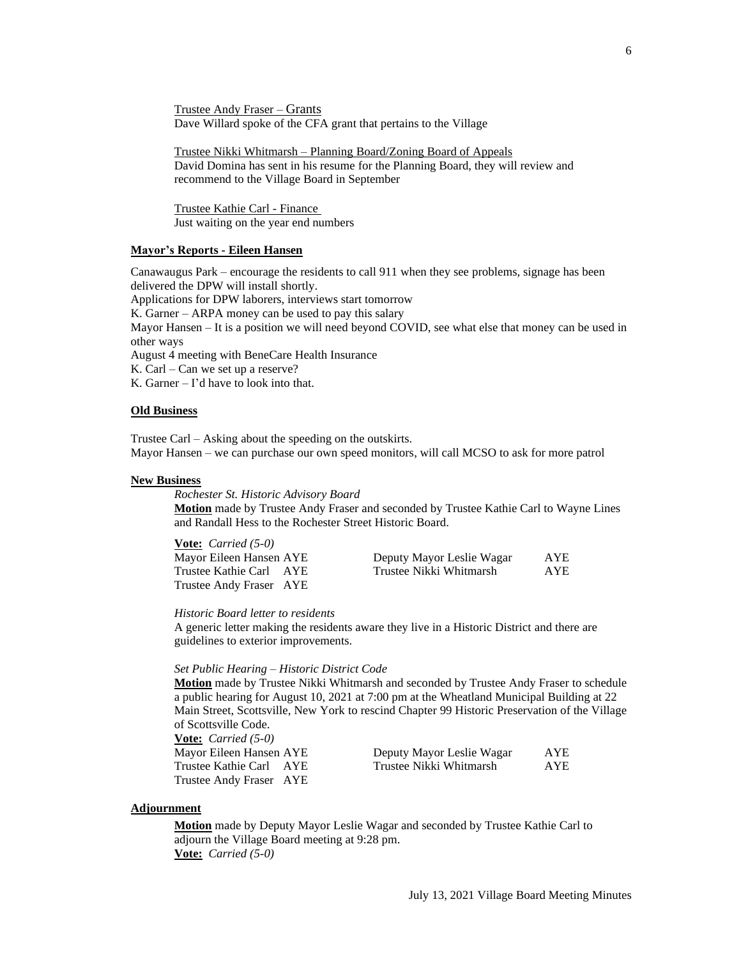Trustee Andy Fraser – Grants Dave Willard spoke of the CFA grant that pertains to the Village

Trustee Nikki Whitmarsh – Planning Board/Zoning Board of Appeals David Domina has sent in his resume for the Planning Board, they will review and recommend to the Village Board in September

Trustee Kathie Carl - Finance Just waiting on the year end numbers

## **Mayor's Reports - Eileen Hansen**

Canawaugus Park – encourage the residents to call 911 when they see problems, signage has been delivered the DPW will install shortly.

Applications for DPW laborers, interviews start tomorrow K. Garner – ARPA money can be used to pay this salary Mayor Hansen – It is a position we will need beyond COVID, see what else that money can be used in other ways

August 4 meeting with BeneCare Health Insurance

K. Carl – Can we set up a reserve?

K. Garner – I'd have to look into that.

**Vote:** *Carried (5-0)*

#### **Old Business**

Trustee Carl – Asking about the speeding on the outskirts. Mayor Hansen – we can purchase our own speed monitors, will call MCSO to ask for more patrol

#### **New Business**

*Rochester St. Historic Advisory Board*

**Motion** made by Trustee Andy Fraser and seconded by Trustee Kathie Carl to Wayne Lines and Randall Hess to the Rochester Street Historic Board.

| <b><u>Vote:</u></b> <i>Carried</i> $(5-0)$ |                           |            |
|--------------------------------------------|---------------------------|------------|
| Mayor Eileen Hansen AYE                    | Deputy Mayor Leslie Wagar | <b>AYE</b> |
| Trustee Kathie Carl AYE                    | Trustee Nikki Whitmarsh   | AYE        |
| Trustee Andy Fraser AYE                    |                           |            |

*Historic Board letter to residents*

A generic letter making the residents aware they live in a Historic District and there are guidelines to exterior improvements.

#### *Set Public Hearing – Historic District Code*

**Motion** made by Trustee Nikki Whitmarsh and seconded by Trustee Andy Fraser to schedule a public hearing for August 10, 2021 at 7:00 pm at the Wheatland Municipal Building at 22 Main Street, Scottsville, New York to rescind Chapter 99 Historic Preservation of the Village of Scottsville Code.

| <b>Vote:</b> <i>Carried</i> $(5-0)$ |  |
|-------------------------------------|--|
| Mayor Eileen Hansen AYE             |  |
| Trustee Kathie Carl AYE             |  |
| Trustee Andy Fraser AYE             |  |

| Mayor Eileen Hansen AYE | Deputy Mayor Leslie Wagar | AYE        |
|-------------------------|---------------------------|------------|
| Trustee Kathie Carl AYE | Trustee Nikki Whitmarsh   | <b>AYE</b> |

# **Adjournment**

**Motion** made by Deputy Mayor Leslie Wagar and seconded by Trustee Kathie Carl to adjourn the Village Board meeting at 9:28 pm. **Vote:** *Carried (5-0)*